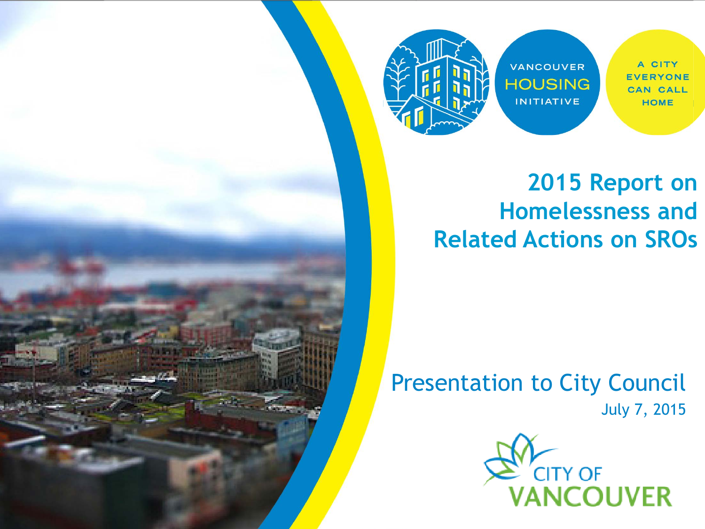

VANCOUVER **HOUSING INITIATIVE** 

A CITY **EVERYONE CAN CALL HOME** 

#### **2015 Report on Homelessness and Related Actions on SROs**

#### Presentation to City Council July 7, 2015

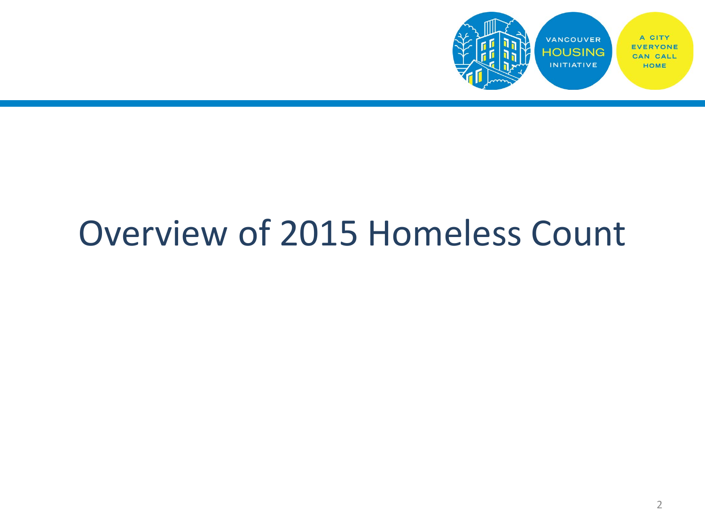

# Overview of 2015 Homeless Count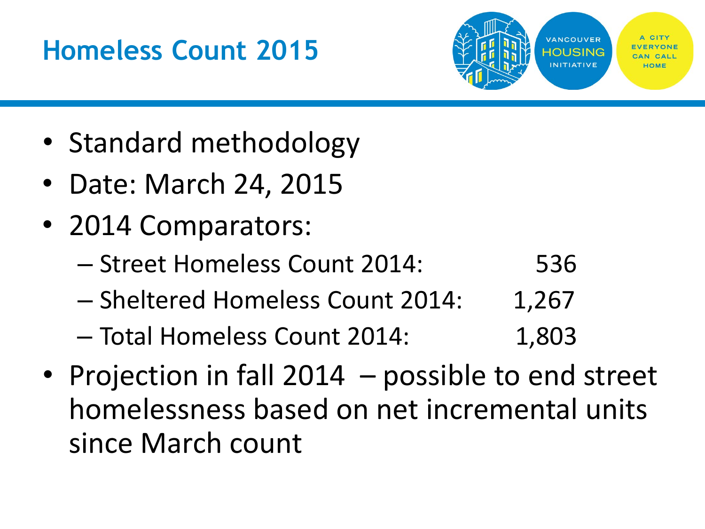## **Homeless Count 2015**



- Standard methodology
- Date: March 24, 2015
- 2014 Comparators:
	- Street Homeless Count 2014: 536
	- Sheltered Homeless Count 2014: 1,267
	- Total Homeless Count 2014: 1,803
- Projection in fall 2014 possible to end street homelessness based on net incremental units since March count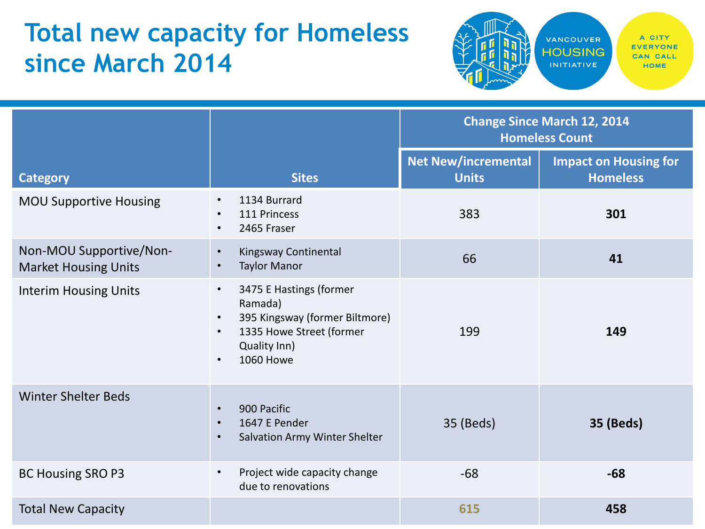## **Total new capacity for Homeless since March 2014**



|                                                        |                                                                                                                                                                | <b>Change Since March 12, 2014</b><br><b>Homeless Count</b> |                                                 |
|--------------------------------------------------------|----------------------------------------------------------------------------------------------------------------------------------------------------------------|-------------------------------------------------------------|-------------------------------------------------|
| <b>Category</b>                                        | <b>Sites</b>                                                                                                                                                   | <b>Net New/incremental</b><br><b>Units</b>                  | <b>Impact on Housing for</b><br><b>Homeless</b> |
| <b>MOU Supportive Housing</b>                          | 1134 Burrard<br>$\bullet$<br>111 Princess<br>$\bullet$<br>2465 Fraser<br>$\bullet$                                                                             | 383                                                         | 301                                             |
| Non-MOU Supportive/Non-<br><b>Market Housing Units</b> | Kingsway Continental<br>$\bullet$<br><b>Taylor Manor</b><br>$\bullet$                                                                                          | 66                                                          | 41                                              |
| <b>Interim Housing Units</b>                           | 3475 E Hastings (former<br>$\bullet$<br>Ramada)<br>395 Kingsway (former Biltmore)<br>$\bullet$<br>1335 Howe Street (former<br>Quality Inn)<br><b>1060 Howe</b> | 199                                                         | 149                                             |
| <b>Winter Shelter Beds</b>                             | 900 Pacific<br>$\bullet$<br>1647 E Pender<br>$\bullet$<br>Salvation Army Winter Shelter                                                                        | 35 (Beds)                                                   | <b>35 (Beds)</b>                                |
| <b>BC Housing SRO P3</b>                               | Project wide capacity change<br>due to renovations                                                                                                             | $-68$                                                       | $-68$                                           |
| <b>Total New Capacity</b>                              |                                                                                                                                                                | 615                                                         | 458                                             |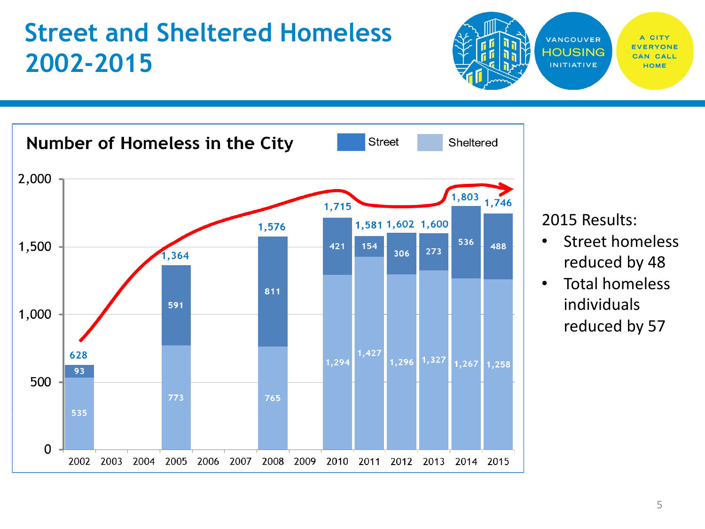### **Street and Sheltered Homeless 2002-2015**



2015 Results:

VANCOUVER

**HOUSING** 

**INITIATIVE** 

CITY

HOME

CALL

- Street homeless reduced by 48
- Total homeless individuals reduced by 57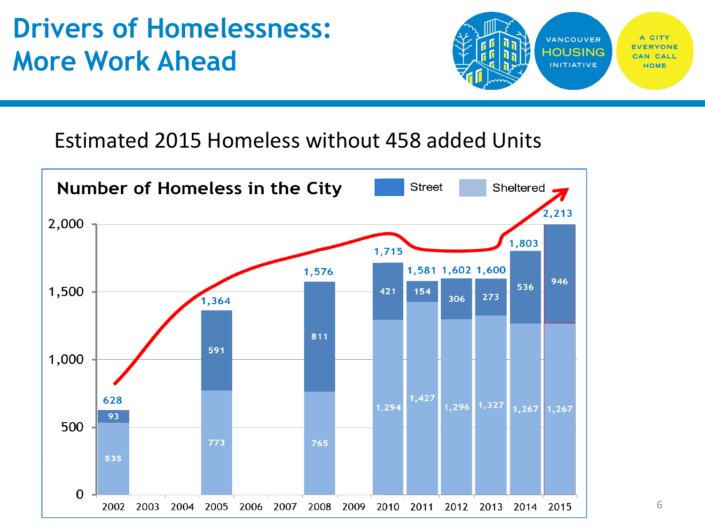## **Drivers of Homelessness: More Work Ahead**



#### Estimated 2015 Homeless without 458 added Units



6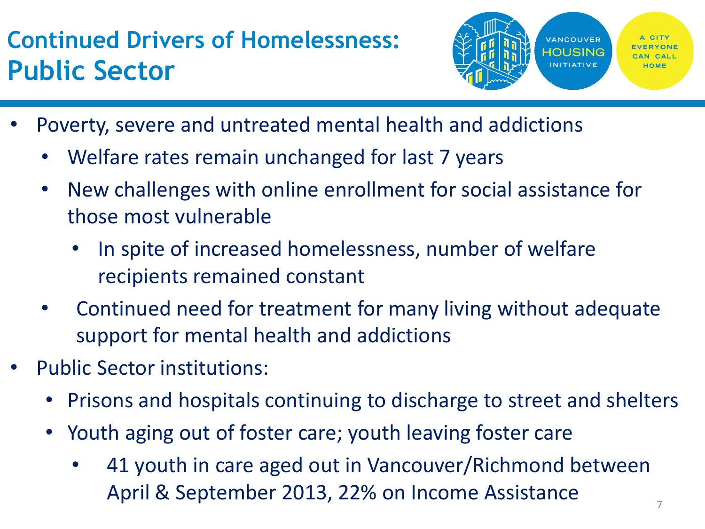## **Continued Drivers of Homelessness: Public Sector**



- Poverty, severe and untreated mental health and addictions
	- Welfare rates remain unchanged for last 7 years
	- New challenges with online enrollment for social assistance for those most vulnerable
		- In spite of increased homelessness, number of welfare recipients remained constant
	- Continued need for treatment for many living without adequate support for mental health and addictions
- Public Sector institutions:
	- Prisons and hospitals continuing to discharge to street and shelters
	- Youth aging out of foster care; youth leaving foster care
		- 41 youth in care aged out in Vancouver/Richmond between April & September 2013, 22% on Income Assistance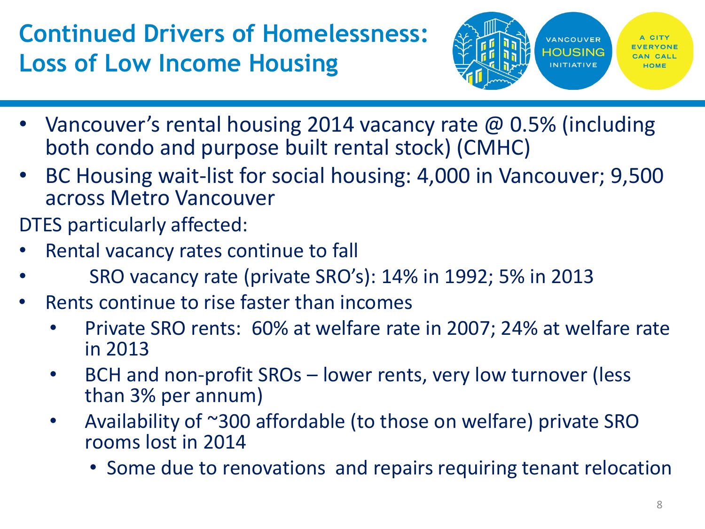## **Continued Drivers of Homelessness: Loss of Low Income Housing**



- Vancouver's rental housing 2014 vacancy rate @ 0.5% (including both condo and purpose built rental stock) (CMHC)
- BC Housing wait-list for social housing: 4,000 in Vancouver; 9,500 across Metro Vancouver
- DTES particularly affected:
- Rental vacancy rates continue to fall
- SRO vacancy rate (private SRO's): 14% in 1992; 5% in 2013
- Rents continue to rise faster than incomes
	- Private SRO rents: 60% at welfare rate in 2007; 24% at welfare rate in 2013
	- BCH and non-profit SROs lower rents, very low turnover (less than 3% per annum)
	- Availability of ~300 affordable (to those on welfare) private SRO rooms lost in 2014
		- Some due to renovations and repairs requiring tenant relocation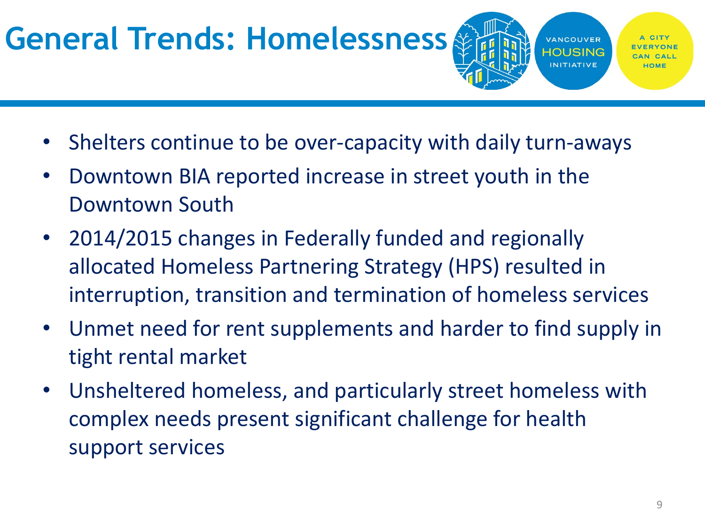# **General Trends: Homelessness**

HOUSING

**VANCOUVER** 

**INITIATIVE** 

- Shelters continue to be over-capacity with daily turn-aways
- Downtown BIA reported increase in street youth in the Downtown South
- 2014/2015 changes in Federally funded and regionally allocated Homeless Partnering Strategy (HPS) resulted in interruption, transition and termination of homeless services
- Unmet need for rent supplements and harder to find supply in tight rental market
- Unsheltered homeless, and particularly street homeless with complex needs present significant challenge for health support services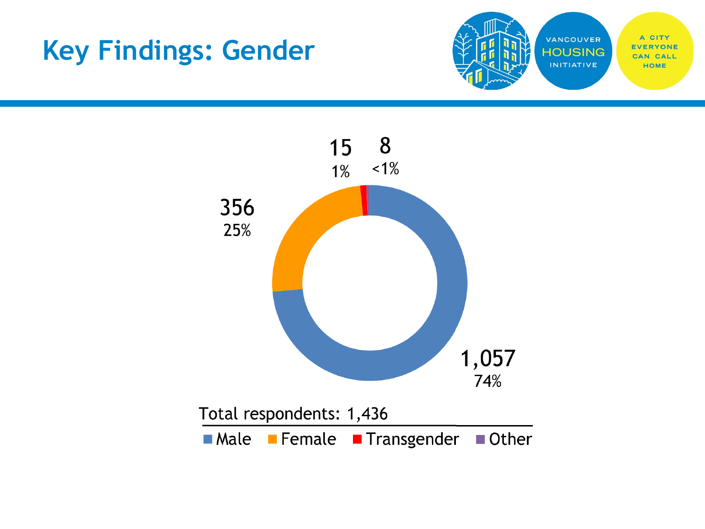## **Key Findings: Gender**



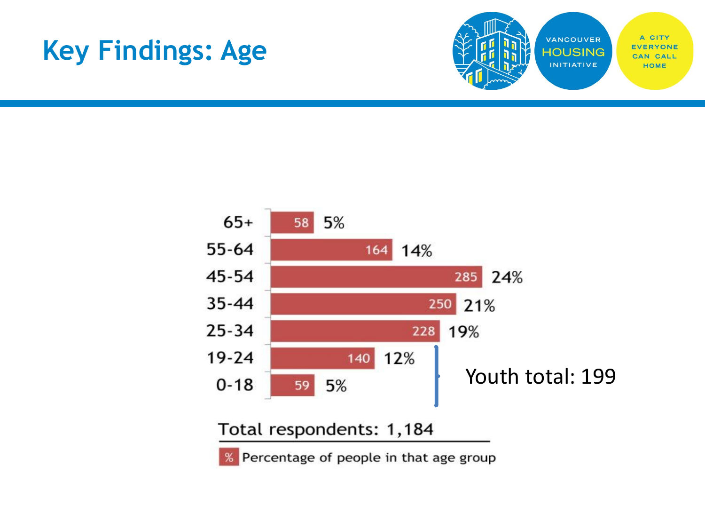## **Key Findings: Age**





% Percentage of people in that age group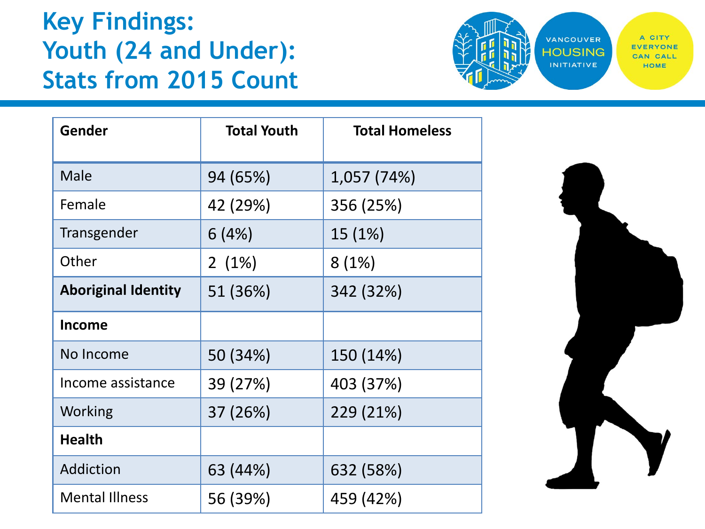#### **Key Findings: Youth (24 and Under): Stats from 2015 Count**



| Gender                     | <b>Total Youth</b> | <b>Total Homeless</b> |
|----------------------------|--------------------|-----------------------|
| Male                       | 94 (65%)           | 1,057 (74%)           |
| Female                     | 42 (29%)           | 356 (25%)             |
| Transgender                | 6(4%)              | 15 (1%)               |
| Other                      | 2(1%)              | 8(1%)                 |
| <b>Aboriginal Identity</b> | 51 (36%)           | 342 (32%)             |
| <b>Income</b>              |                    |                       |
| No Income                  | 50 (34%)           | 150 (14%)             |
| Income assistance          | 39 (27%)           | 403 (37%)             |
| Working                    | 37 (26%)           | 229 (21%)             |
| <b>Health</b>              |                    |                       |
| Addiction                  | 63 (44%)           | 632 (58%)             |
| <b>Mental Illness</b>      | 56 (39%)           | 459 (42%)             |

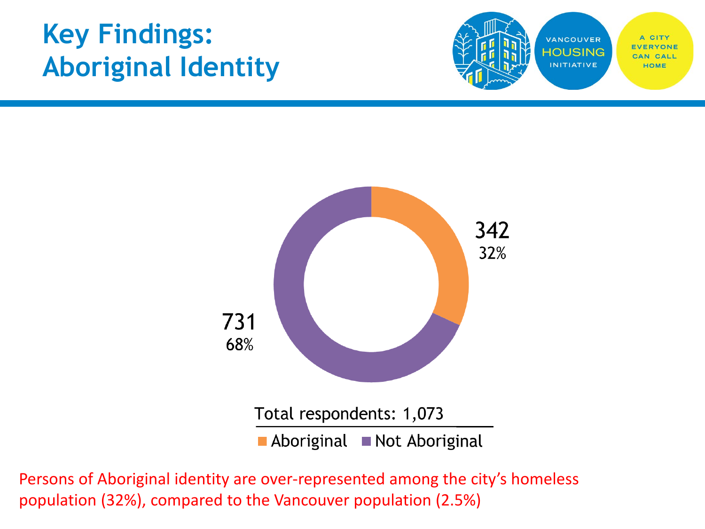## **Key Findings: Aboriginal Identity**





Persons of Aboriginal identity are over-represented among the city's homeless population (32%), compared to the Vancouver population (2.5%)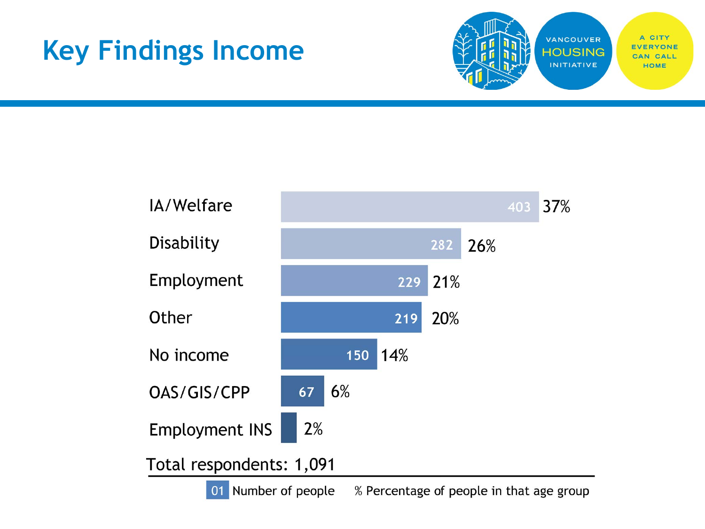## **Key Findings Income**



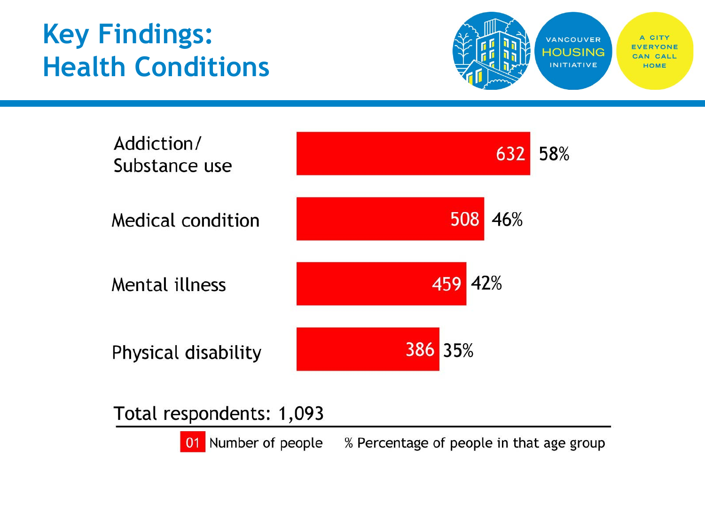## **Key Findings: Health Conditions**





Total respondents: 1,093

01 Number of people % Percentage of people in that age group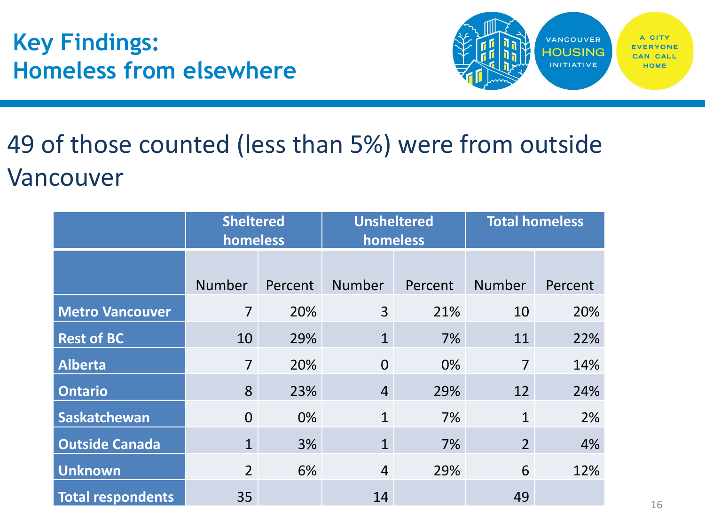**Key Findings: Homeless from elsewhere**



## 49 of those counted (less than 5%) were from outside Vancouver

|                          | <b>Sheltered</b><br>homeless |                | <b>Unsheltered</b><br>homeless |                | <b>Total homeless</b> |                |
|--------------------------|------------------------------|----------------|--------------------------------|----------------|-----------------------|----------------|
|                          | <b>Number</b>                |                | <b>Number</b>                  |                | <b>Number</b>         |                |
| <b>Metro Vancouver</b>   | $\overline{7}$               | Percent<br>20% | 3                              | Percent<br>21% | 10                    | Percent<br>20% |
| <b>Rest of BC</b>        | 10                           | 29%            | $\mathbf{1}$                   | 7%             | 11                    | 22%            |
| <b>Alberta</b>           | $\overline{7}$               | 20%            | $\overline{0}$                 | 0%             | $\overline{7}$        | 14%            |
| <b>Ontario</b>           | 8                            | 23%            | $\overline{4}$                 | 29%            | 12                    | 24%            |
| Saskatchewan             | $\overline{0}$               | 0%             | $\mathbf{1}$                   | 7%             | $\mathbf{1}$          | 2%             |
| <b>Outside Canada</b>    | $\mathbf{1}$                 | 3%             | $\mathbf{1}$                   | 7%             | 2 <sup>1</sup>        | 4%             |
| <b>Unknown</b>           | $\overline{2}$               | 6%             | $\overline{4}$                 | 29%            | 6                     | 12%            |
| <b>Total respondents</b> | 35                           |                | 14                             |                | 49                    |                |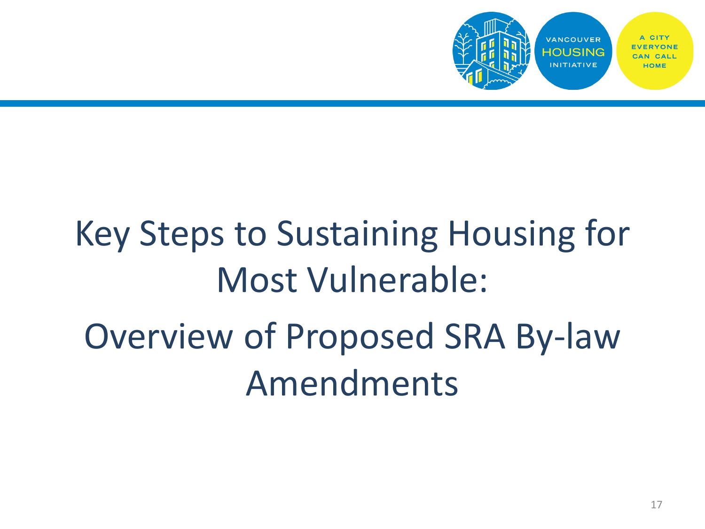

# Key Steps to Sustaining Housing for Most Vulnerable: Overview of Proposed SRA By-law Amendments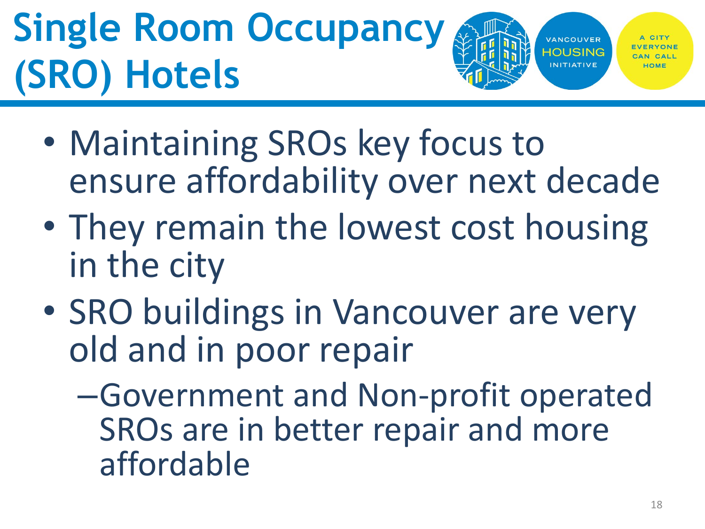# **Single Room Occupancy (SRO) Hotels**

VANCOUVER HOLISING

- Maintaining SROs key focus to ensure affordability over next decade
- They remain the lowest cost housing in the city
- SRO buildings in Vancouver are very old and in poor repair
	- –Government and Non-profit operated SROs are in better repair and more affordable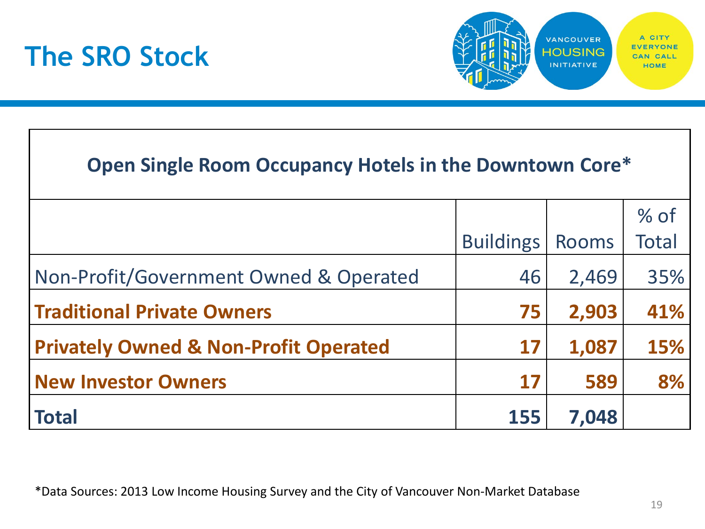



#### **Open Single Room Occupancy Hotels in the Downtown Core\***

|                                                  |                  |              | $%$ of       |
|--------------------------------------------------|------------------|--------------|--------------|
|                                                  | <b>Buildings</b> | <b>Rooms</b> | <b>Total</b> |
| Non-Profit/Government Owned & Operated           | 46               | 2,469        | 35%          |
| <b>Traditional Private Owners</b>                | 75               | 2,903        | 41%          |
| <b>Privately Owned &amp; Non-Profit Operated</b> | 17               | 1,087        | 15%          |
| <b>New Investor Owners</b>                       | 17               | 589          | 8%           |
| <b>Total</b>                                     | 155              | 7,048        |              |

\*Data Sources: 2013 Low Income Housing Survey and the City of Vancouver Non-Market Database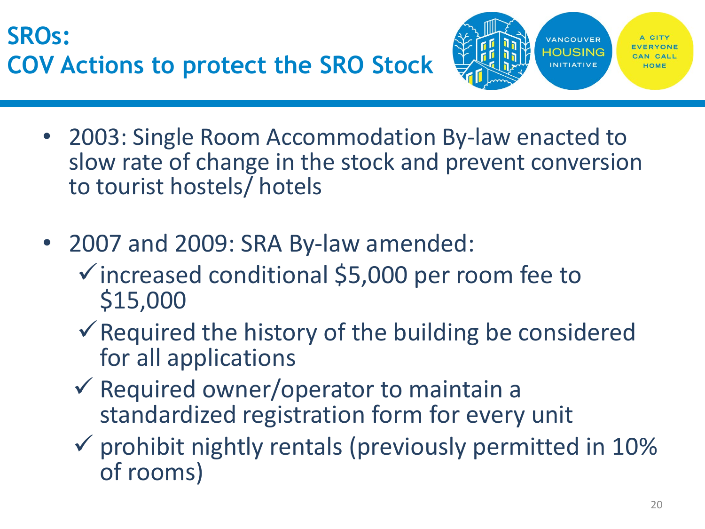**SROs: COV Actions to protect the SRO Stock**



- 2003: Single Room Accommodation By-law enacted to slow rate of change in the stock and prevent conversion to tourist hostels/ hotels
- 2007 and 2009: SRA By-law amended:
	- $\checkmark$  increased conditional \$5,000 per room fee to \$15,000
	- $\checkmark$  Required the history of the building be considered for all applications
	- $\checkmark$  Required owner/operator to maintain a standardized registration form for every unit
	- $\checkmark$  prohibit nightly rentals (previously permitted in 10% of rooms)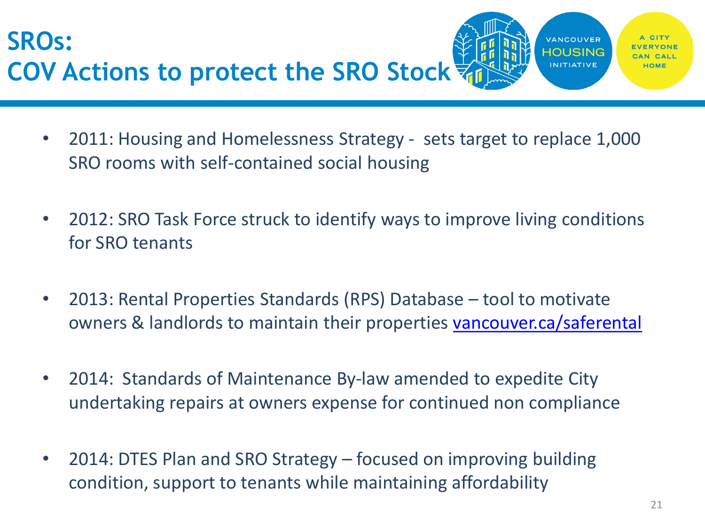**SROs: COV Actions to protect the SRO Stock**

- 2011: Housing and Homelessness Strategy sets target to replace 1,000 SRO rooms with self-contained social housing
- 2012: SRO Task Force struck to identify ways to improve living conditions for SRO tenants
- 2013: Rental Properties Standards (RPS) Database tool to motivate owners & landlords to maintain their properties [vancouver.ca/saferental](http://www.vancouver.ca/saferental)
- 2014: Standards of Maintenance By-law amended to expedite City undertaking repairs at owners expense for continued non compliance
- 2014: DTES Plan and SRO Strategy focused on improving building condition, support to tenants while maintaining affordability

**VANCOUVER HOUSING INITIATIVE**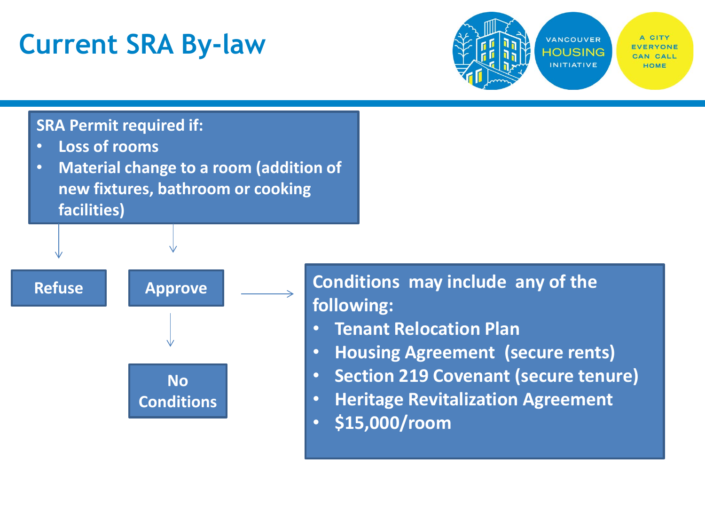## **Current SRA By-law**



#### **SRA Permit required if:**

- **Loss of rooms**
- **Material change to a room (addition of new fixtures, bathroom or cooking facilities)**



#### Refuse **All Approve Conditions may include any of the following:**

- **Tenant Relocation Plan**
- **Housing Agreement (secure rents)**
- **Section 219 Covenant (secure tenure)**
- **Heritage Revitalization Agreement**
- **\$15,000/room**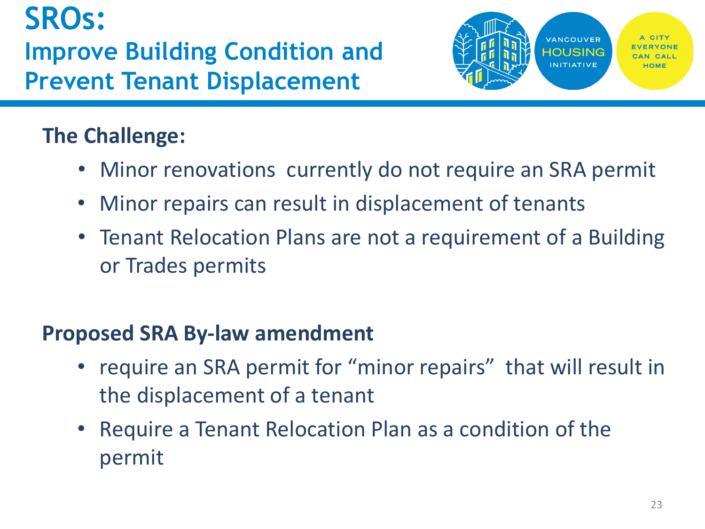**SROs: Improve Building Condition and Prevent Tenant Displacement**



#### **The Challenge:**

- Minor renovations currently do not require an SRA permit
- Minor repairs can result in displacement of tenants
- Tenant Relocation Plans are not a requirement of a Building or Trades permits

#### **Proposed SRA By-law amendment**

- require an SRA permit for "minor repairs" that will result in the displacement of a tenant
- Require a Tenant Relocation Plan as a condition of the permit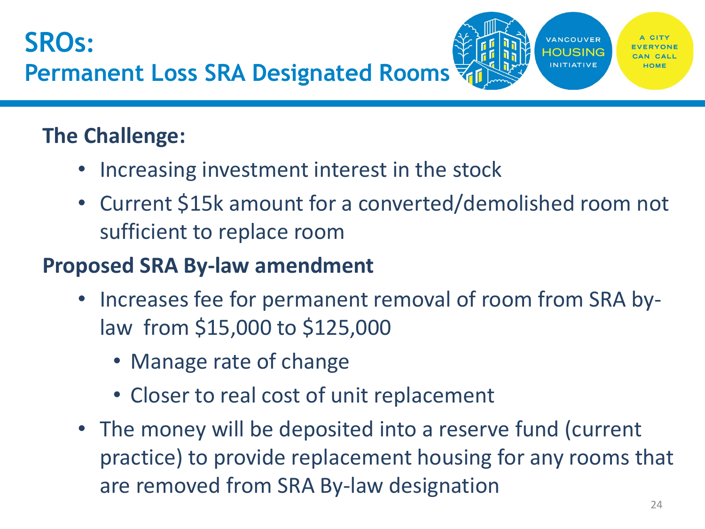#### **The Challenge:**

- Increasing investment interest in the stock
- Current \$15k amount for a converted/demolished room not sufficient to replace room

#### **Proposed SRA By-law amendment**

- Increases fee for permanent removal of room from SRA bylaw from \$15,000 to \$125,000
	- Manage rate of change
	- Closer to real cost of unit replacement
- The money will be deposited into a reserve fund (current practice) to provide replacement housing for any rooms that are removed from SRA By-law designation

**VANCOUVER** HOUSING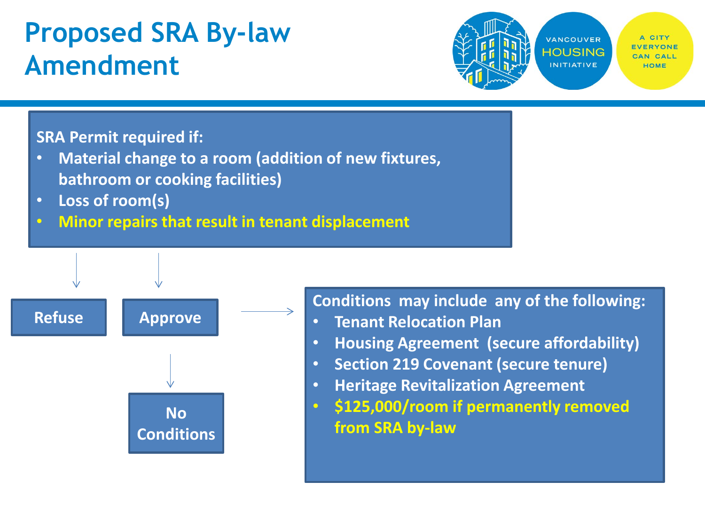## **Proposed SRA By-law Amendment**



#### **SRA Permit required if:**

- **Material change to a room (addition of new fixtures, bathroom or cooking facilities)**
- **Loss of room(s)**
- **Minor repairs that result in tenant displacement**



**Conditions may include any of the following:**

- **Tenant Relocation Plan**
- **Housing Agreement (secure affordability)**
- **Section 219 Covenant (secure tenure)**
- **Heritage Revitalization Agreement**
- **\$125,000/room if permanently removed from SRA by-law**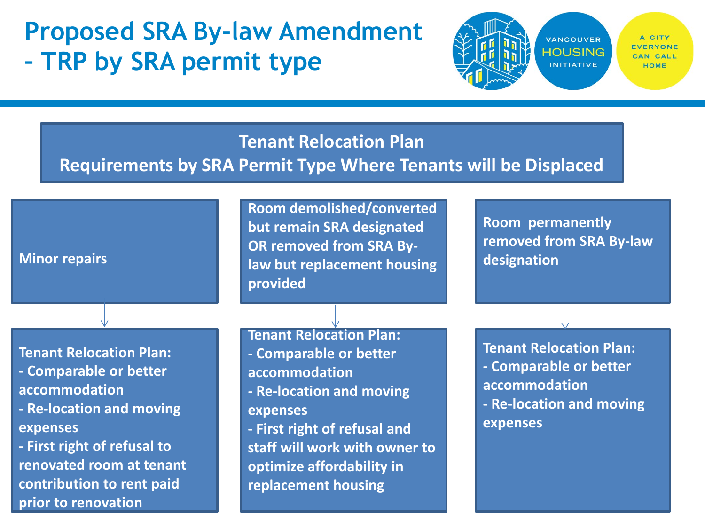## **Proposed SRA By-law Amendment – TRP by SRA permit type**



#### **Tenant Relocation Plan**

#### **Requirements by SRA Permit Type Where Tenants will be Displaced**

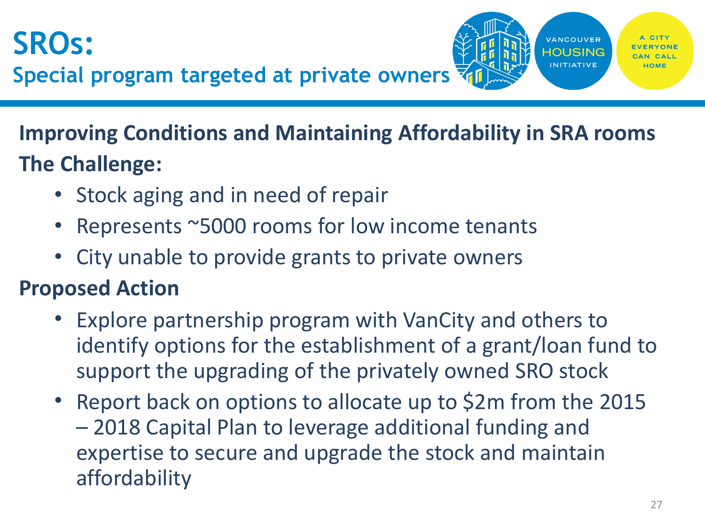

**Improving Conditions and Maintaining Affordability in SRA rooms The Challenge:** 

- Stock aging and in need of repair
- Represents ~5000 rooms for low income tenants
- City unable to provide grants to private owners

#### **Proposed Action**

- Explore partnership program with VanCity and others to identify options for the establishment of a grant/loan fund to support the upgrading of the privately owned SRO stock
- Report back on options to allocate up to \$2m from the 2015 – 2018 Capital Plan to leverage additional funding and expertise to secure and upgrade the stock and maintain affordability

**VANCOUVER HOUSING INITIATIVE**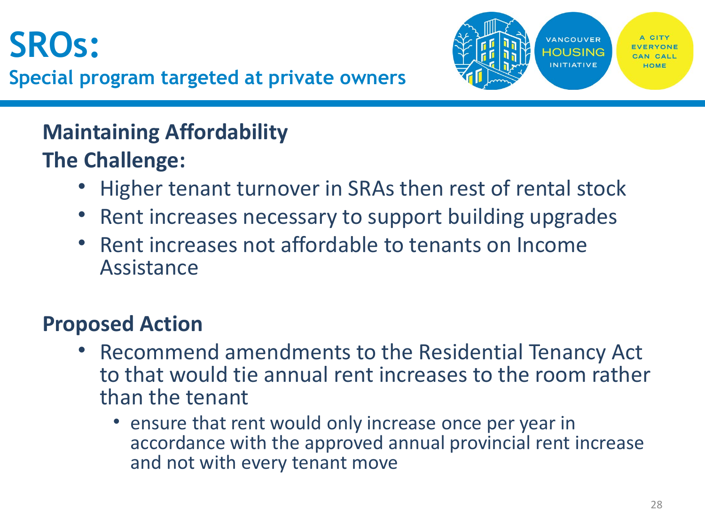# **SROs:**



#### **Maintaining Affordability The Challenge:**

- Higher tenant turnover in SRAs then rest of rental stock
- Rent increases necessary to support building upgrades
- Rent increases not affordable to tenants on Income Assistance

#### **Proposed Action**

- Recommend amendments to the Residential Tenancy Act to that would tie annual rent increases to the room rather than the tenant
	- ensure that rent would only increase once per year in accordance with the approved annual provincial rent increase and not with every tenant move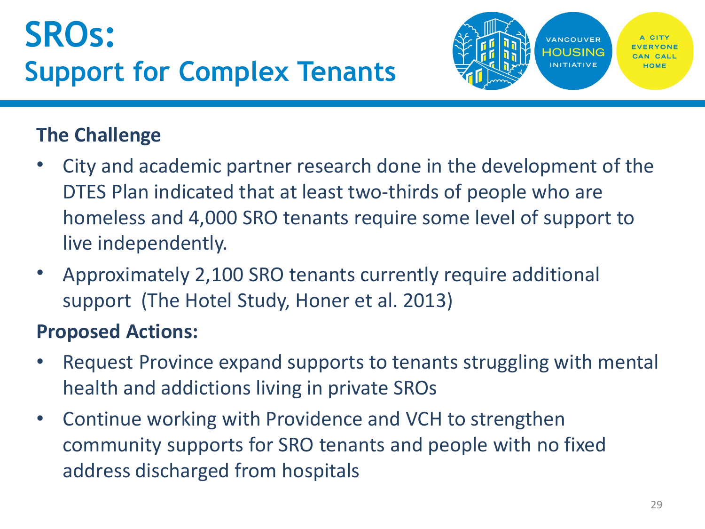

#### **The Challenge**

- City and academic partner research done in the development of the DTES Plan indicated that at least two-thirds of people who are homeless and 4,000 SRO tenants require some level of support to live independently.
- Approximately 2,100 SRO tenants currently require additional support (The Hotel Study, Honer et al. 2013)

#### **Proposed Actions:**

- Request Province expand supports to tenants struggling with mental health and addictions living in private SROs
- Continue working with Providence and VCH to strengthen community supports for SRO tenants and people with no fixed address discharged from hospitals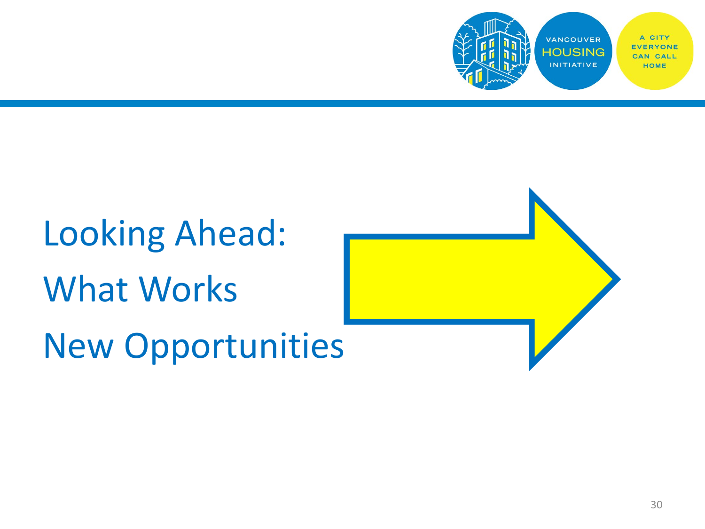

# Looking Ahead: What Works New Opportunities

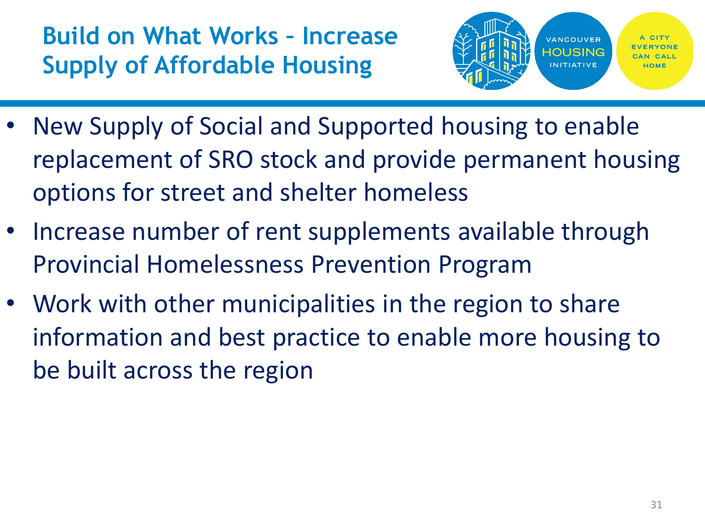## **Build on What Works – Increase Supply of Affordable Housing**



- New Supply of Social and Supported housing to enable replacement of SRO stock and provide permanent housing options for street and shelter homeless
- Increase number of rent supplements available through Provincial Homelessness Prevention Program
- Work with other municipalities in the region to share information and best practice to enable more housing to be built across the region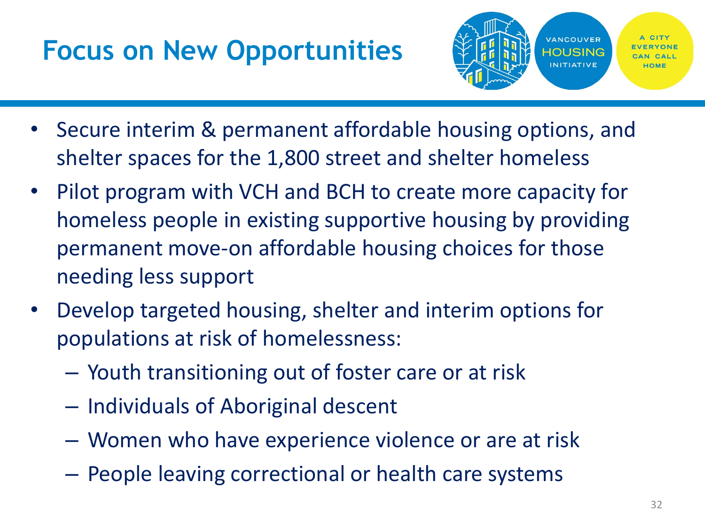## **Focus on New Opportunities**



- Secure interim & permanent affordable housing options, and shelter spaces for the 1,800 street and shelter homeless
- Pilot program with VCH and BCH to create more capacity for homeless people in existing supportive housing by providing permanent move-on affordable housing choices for those needing less support
- Develop targeted housing, shelter and interim options for populations at risk of homelessness:
	- Youth transitioning out of foster care or at risk
	- Individuals of Aboriginal descent
	- Women who have experience violence or are at risk
	- People leaving correctional or health care systems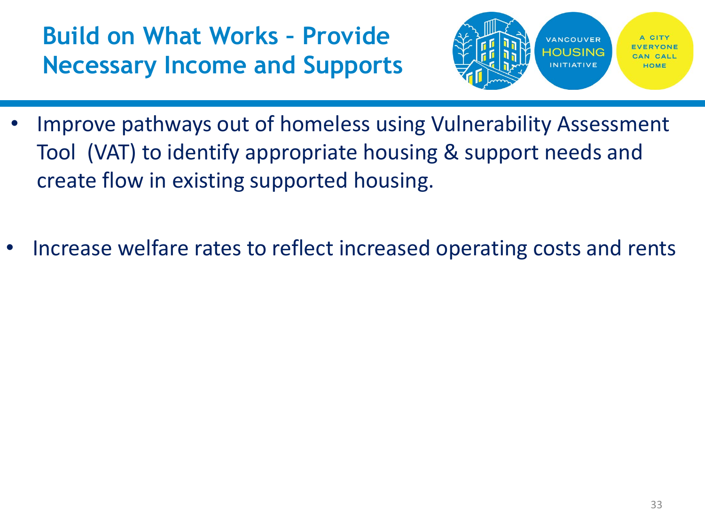## **Build on What Works – Provide Necessary Income and Supports**



- Improve pathways out of homeless using Vulnerability Assessment Tool (VAT) to identify appropriate housing & support needs and create flow in existing supported housing.
- Increase welfare rates to reflect increased operating costs and rents